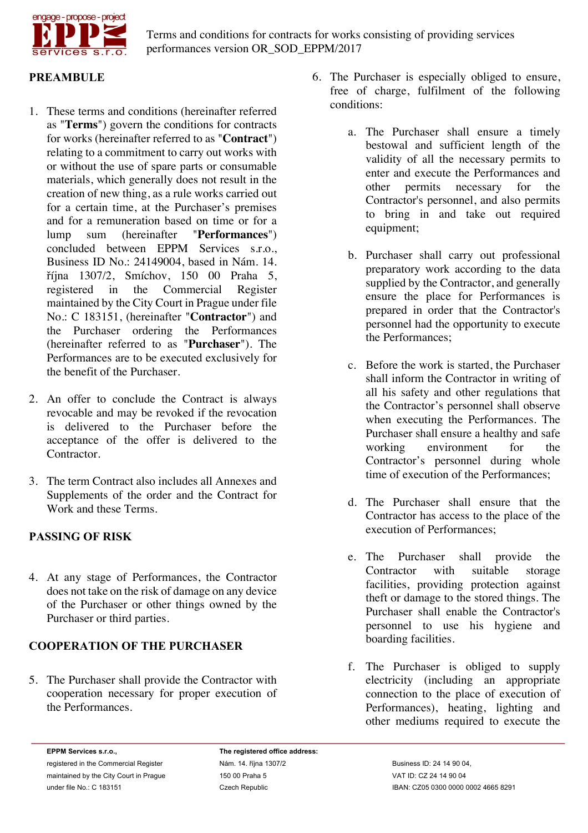

## **PREAMBULE**

- 1. These terms and conditions (hereinafter referred as "**Terms**") govern the conditions for contracts for works (hereinafter referred to as "**Contract**") relating to a commitment to carry out works with or without the use of spare parts or consumable materials, which generally does not result in the creation of new thing, as a rule works carried out for a certain time, at the Purchaser's premises and for a remuneration based on time or for a lump sum (hereinafter "**Performances**") concluded between EPPM Services s.r.o., Business ID No.: 24149004, based in Nám. 14. října 1307/2, Smíchov, 150 00 Praha 5, Commercial Register maintained by the City Court in Prague under file No.: C 183151, (hereinafter "**Contractor**") and the Purchaser ordering the Performances (hereinafter referred to as "**Purchaser**"). The Performances are to be executed exclusively for the benefit of the Purchaser.
- 2. An offer to conclude the Contract is always revocable and may be revoked if the revocation is delivered to the Purchaser before the acceptance of the offer is delivered to the Contractor.
- 3. The term Contract also includes all Annexes and Supplements of the order and the Contract for Work and these Terms.

## **PASSING OF RISK**

4. At any stage of Performances, the Contractor does not take on the risk of damage on any device of the Purchaser or other things owned by the Purchaser or third parties.

## **COOPERATION OF THE PURCHASER**

5. The Purchaser shall provide the Contractor with cooperation necessary for proper execution of the Performances.

- 6. The Purchaser is especially obliged to ensure, free of charge, fulfilment of the following conditions:
	- a. The Purchaser shall ensure a timely bestowal and sufficient length of the validity of all the necessary permits to enter and execute the Performances and other permits necessary for the Contractor's personnel, and also permits to bring in and take out required equipment;
	- b. Purchaser shall carry out professional preparatory work according to the data supplied by the Contractor, and generally ensure the place for Performances is prepared in order that the Contractor's personnel had the opportunity to execute the Performances;
	- c. Before the work is started, the Purchaser shall inform the Contractor in writing of all his safety and other regulations that the Contractor's personnel shall observe when executing the Performances. The Purchaser shall ensure a healthy and safe working environment for the Contractor's personnel during whole time of execution of the Performances;
	- d. The Purchaser shall ensure that the Contractor has access to the place of the execution of Performances;
	- e. The Purchaser shall provide the Contractor with suitable storage facilities, providing protection against theft or damage to the stored things. The Purchaser shall enable the Contractor's personnel to use his hygiene and boarding facilities.
	- f. The Purchaser is obliged to supply electricity (including an appropriate connection to the place of execution of Performances), heating, lighting and other mediums required to execute the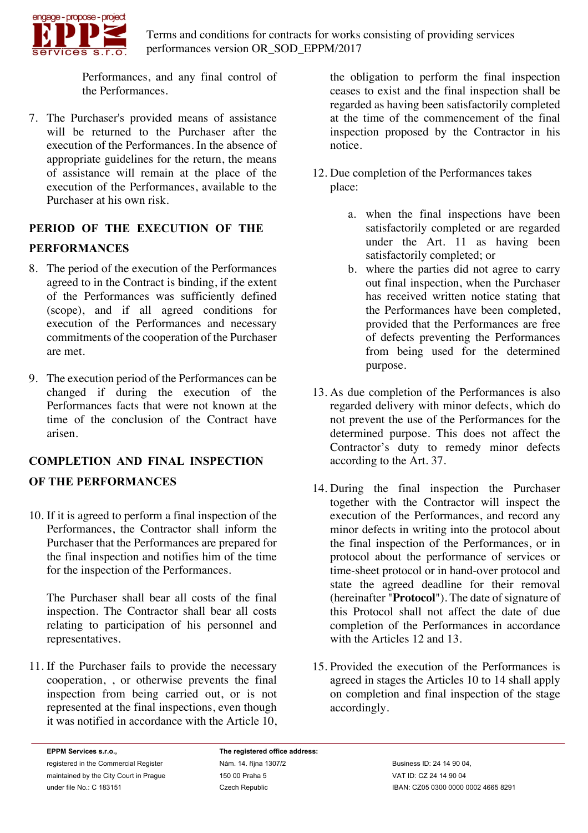

Performances, and any final control of the Performances.

7. The Purchaser's provided means of assistance will be returned to the Purchaser after the execution of the Performances. In the absence of appropriate guidelines for the return, the means of assistance will remain at the place of the execution of the Performances, available to the Purchaser at his own risk.

## **PERIOD OF THE EXECUTION OF THE**

## **PERFORMANCES**

- 8. The period of the execution of the Performances agreed to in the Contract is binding, if the extent of the Performances was sufficiently defined (scope), and if all agreed conditions for execution of the Performances and necessary commitments of the cooperation of the Purchaser are met.
- 9. The execution period of the Performances can be changed if during the execution of the Performances facts that were not known at the time of the conclusion of the Contract have arisen.

# **COMPLETION AND FINAL INSPECTION OF THE PERFORMANCES**

10. If it is agreed to perform a final inspection of the Performances, the Contractor shall inform the Purchaser that the Performances are prepared for the final inspection and notifies him of the time for the inspection of the Performances.

The Purchaser shall bear all costs of the final inspection. The Contractor shall bear all costs relating to participation of his personnel and representatives.

11. If the Purchaser fails to provide the necessary cooperation, , or otherwise prevents the final inspection from being carried out, or is not represented at the final inspections, even though it was notified in accordance with the Article 10, the obligation to perform the final inspection ceases to exist and the final inspection shall be regarded as having been satisfactorily completed at the time of the commencement of the final inspection proposed by the Contractor in his notice.

- 12. Due completion of the Performances takes place:
	- a. when the final inspections have been satisfactorily completed or are regarded under the Art. 11 as having been satisfactorily completed; or
	- b. where the parties did not agree to carry out final inspection, when the Purchaser has received written notice stating that the Performances have been completed, provided that the Performances are free of defects preventing the Performances from being used for the determined purpose.
- 13. As due completion of the Performances is also regarded delivery with minor defects, which do not prevent the use of the Performances for the determined purpose. This does not affect the Contractor's duty to remedy minor defects according to the Art. 37.
- 14. During the final inspection the Purchaser together with the Contractor will inspect the execution of the Performances, and record any minor defects in writing into the protocol about the final inspection of the Performances, or in protocol about the performance of services or time-sheet protocol or in hand-over protocol and state the agreed deadline for their removal (hereinafter "**Protocol**"). The date of signature of this Protocol shall not affect the date of due completion of the Performances in accordance with the Articles 12 and 13.
- 15. Provided the execution of the Performances is agreed in stages the Articles 10 to 14 shall apply on completion and final inspection of the stage accordingly.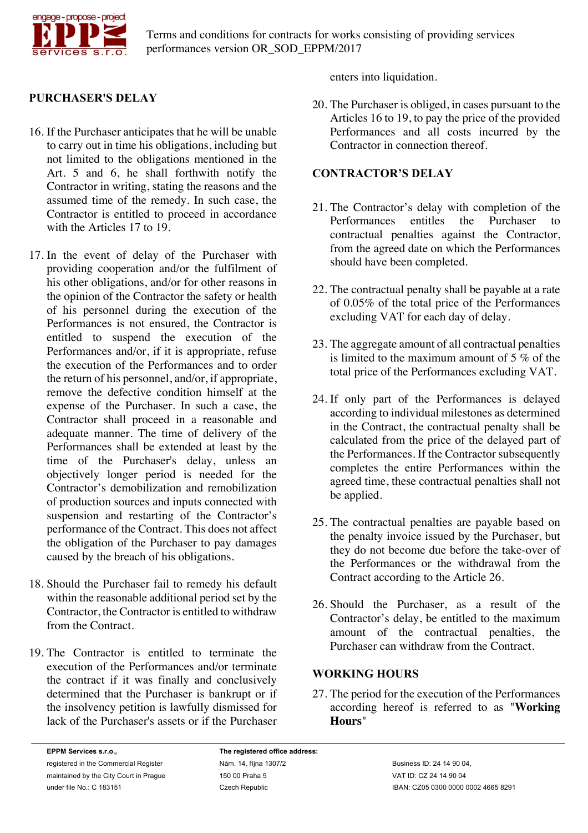

## **PURCHASER'S DELAY**

- 16. If the Purchaser anticipates that he will be unable to carry out in time his obligations, including but not limited to the obligations mentioned in the Art. 5 and 6, he shall forthwith notify the Contractor in writing, stating the reasons and the assumed time of the remedy. In such case, the Contractor is entitled to proceed in accordance with the Articles 17 to 19.
- 17. In the event of delay of the Purchaser with providing cooperation and/or the fulfilment of his other obligations, and/or for other reasons in the opinion of the Contractor the safety or health of his personnel during the execution of the Performances is not ensured, the Contractor is entitled to suspend the execution of the Performances and/or, if it is appropriate, refuse the execution of the Performances and to order the return of his personnel, and/or, if appropriate, remove the defective condition himself at the expense of the Purchaser. In such a case, the Contractor shall proceed in a reasonable and adequate manner. The time of delivery of the Performances shall be extended at least by the time of the Purchaser's delay, unless an objectively longer period is needed for the Contractor's demobilization and remobilization of production sources and inputs connected with suspension and restarting of the Contractor's performance of the Contract. This does not affect the obligation of the Purchaser to pay damages caused by the breach of his obligations.
- 18. Should the Purchaser fail to remedy his default within the reasonable additional period set by the Contractor, the Contractor is entitled to withdraw from the Contract.
- 19. The Contractor is entitled to terminate the execution of the Performances and/or terminate the contract if it was finally and conclusively determined that the Purchaser is bankrupt or if the insolvency petition is lawfully dismissed for lack of the Purchaser's assets or if the Purchaser

enters into liquidation.

20. The Purchaser is obliged, in cases pursuant to the Articles 16 to 19, to pay the price of the provided Performances and all costs incurred by the Contractor in connection thereof.

## **CONTRACTOR'S DELAY**

- 21. The Contractor's delay with completion of the Performances entitles the Purchaser to contractual penalties against the Contractor, from the agreed date on which the Performances should have been completed.
- 22. The contractual penalty shall be payable at a rate of 0.05% of the total price of the Performances excluding VAT for each day of delay.
- 23. The aggregate amount of all contractual penalties is limited to the maximum amount of 5 % of the total price of the Performances excluding VAT.
- 24. If only part of the Performances is delayed according to individual milestones as determined in the Contract, the contractual penalty shall be calculated from the price of the delayed part of the Performances. If the Contractor subsequently completes the entire Performances within the agreed time, these contractual penalties shall not be applied.
- 25. The contractual penalties are payable based on the penalty invoice issued by the Purchaser, but they do not become due before the take-over of the Performances or the withdrawal from the Contract according to the Article 26.
- 26. Should the Purchaser, as a result of the Contractor's delay, be entitled to the maximum amount of the contractual penalties, the Purchaser can withdraw from the Contract.

### **WORKING HOURS**

27. The period for the execution of the Performances according hereof is referred to as "**Working Hours**"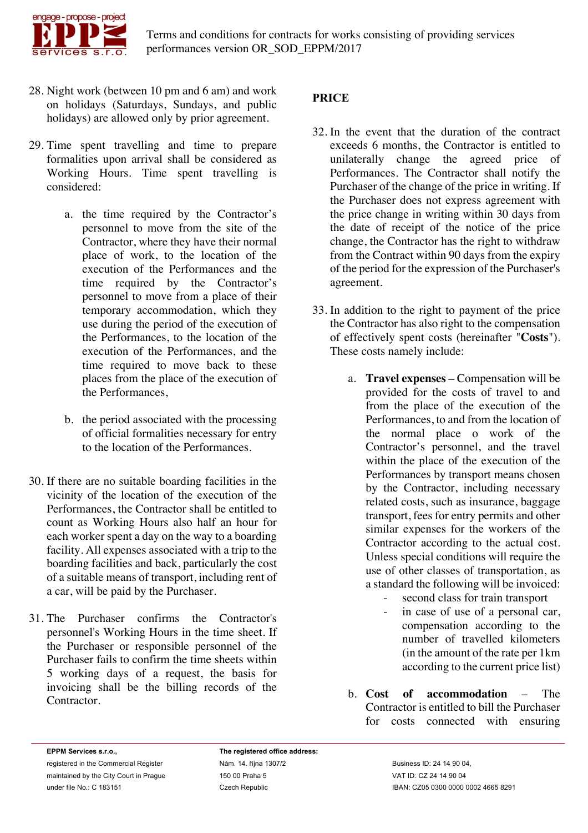

- 28. Night work (between 10 pm and 6 am) and work on holidays (Saturdays, Sundays, and public holidays) are allowed only by prior agreement.
- 29. Time spent travelling and time to prepare formalities upon arrival shall be considered as Working Hours. Time spent travelling is considered:
	- a. the time required by the Contractor's personnel to move from the site of the Contractor, where they have their normal place of work, to the location of the execution of the Performances and the time required by the Contractor's personnel to move from a place of their temporary accommodation, which they use during the period of the execution of the Performances, to the location of the execution of the Performances, and the time required to move back to these places from the place of the execution of the Performances,
	- b. the period associated with the processing of official formalities necessary for entry to the location of the Performances.
- 30. If there are no suitable boarding facilities in the vicinity of the location of the execution of the Performances, the Contractor shall be entitled to count as Working Hours also half an hour for each worker spent a day on the way to a boarding facility. All expenses associated with a trip to the boarding facilities and back, particularly the cost of a suitable means of transport, including rent of a car, will be paid by the Purchaser.
- 31. The Purchaser confirms the Contractor's personnel's Working Hours in the time sheet. If the Purchaser or responsible personnel of the Purchaser fails to confirm the time sheets within 5 working days of a request, the basis for invoicing shall be the billing records of the Contractor.

## **PRICE**

- 32. In the event that the duration of the contract exceeds 6 months, the Contractor is entitled to unilaterally change the agreed price of Performances. The Contractor shall notify the Purchaser of the change of the price in writing. If the Purchaser does not express agreement with the price change in writing within 30 days from the date of receipt of the notice of the price change, the Contractor has the right to withdraw from the Contract within 90 days from the expiry of the period for the expression of the Purchaser's agreement.
- 33. In addition to the right to payment of the price the Contractor has also right to the compensation of effectively spent costs (hereinafter "**Costs**"). These costs namely include:
	- a. **Travel expenses** Compensation will be provided for the costs of travel to and from the place of the execution of the Performances, to and from the location of the normal place o work of the Contractor's personnel, and the travel within the place of the execution of the Performances by transport means chosen by the Contractor, including necessary related costs, such as insurance, baggage transport, fees for entry permits and other similar expenses for the workers of the Contractor according to the actual cost. Unless special conditions will require the use of other classes of transportation, as a standard the following will be invoiced:
		- second class for train transport
		- in case of use of a personal car, compensation according to the number of travelled kilometers (in the amount of the rate per 1km according to the current price list)
	- b. **Cost of accommodation** The Contractor is entitled to bill the Purchaser for costs connected with ensuring

**EPPM Services s.r.o.,** registered in the Commercial Register maintained by the City Court in Prague under file No.: C 183151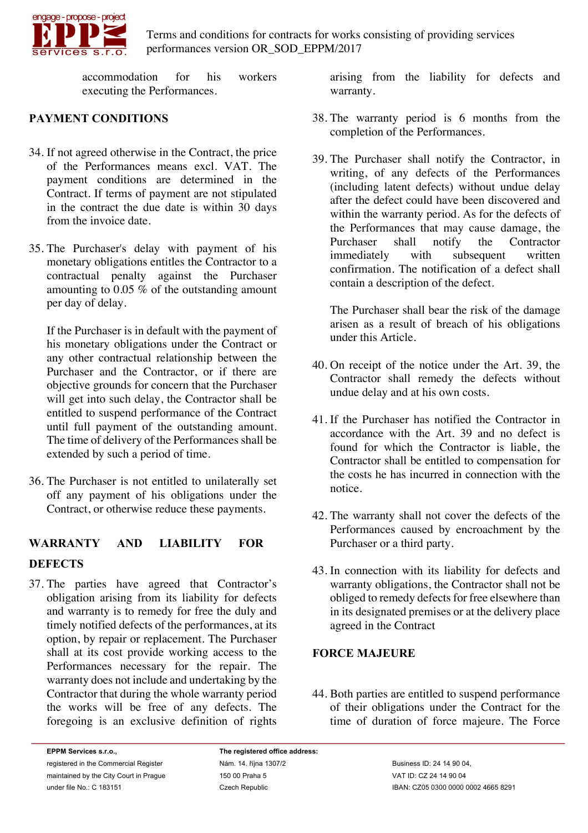

accommodation for his workers executing the Performances.

## **PAYMENT CONDITIONS**

- 34. If not agreed otherwise in the Contract, the price of the Performances means excl. VAT. The payment conditions are determined in the Contract. If terms of payment are not stipulated in the contract the due date is within 30 days from the invoice date.
- 35. The Purchaser's delay with payment of his monetary obligations entitles the Contractor to a contractual penalty against the Purchaser amounting to 0.05 % of the outstanding amount per day of delay.

If the Purchaser is in default with the payment of his monetary obligations under the Contract or any other contractual relationship between the Purchaser and the Contractor, or if there are objective grounds for concern that the Purchaser will get into such delay, the Contractor shall be entitled to suspend performance of the Contract until full payment of the outstanding amount. The time of delivery of the Performances shall be extended by such a period of time.

36. The Purchaser is not entitled to unilaterally set off any payment of his obligations under the Contract, or otherwise reduce these payments.

# **WARRANTY AND LIABILITY FOR DEFECTS**

37. The parties have agreed that Contractor's obligation arising from its liability for defects and warranty is to remedy for free the duly and timely notified defects of the performances, at its option, by repair or replacement. The Purchaser shall at its cost provide working access to the Performances necessary for the repair. The warranty does not include and undertaking by the Contractor that during the whole warranty period the works will be free of any defects. The foregoing is an exclusive definition of rights arising from the liability for defects and warranty.

- 38. The warranty period is 6 months from the completion of the Performances.
- 39. The Purchaser shall notify the Contractor, in writing, of any defects of the Performances (including latent defects) without undue delay after the defect could have been discovered and within the warranty period. As for the defects of the Performances that may cause damage, the Purchaser shall notify the Contractor<br>immediately with subsequent written immediately with subsequent written confirmation. The notification of a defect shall contain a description of the defect.

The Purchaser shall bear the risk of the damage arisen as a result of breach of his obligations under this Article.

- 40. On receipt of the notice under the Art. 39, the Contractor shall remedy the defects without undue delay and at his own costs.
- 41. If the Purchaser has notified the Contractor in accordance with the Art. 39 and no defect is found for which the Contractor is liable, the Contractor shall be entitled to compensation for the costs he has incurred in connection with the notice.
- 42. The warranty shall not cover the defects of the Performances caused by encroachment by the Purchaser or a third party.
- 43. In connection with its liability for defects and warranty obligations, the Contractor shall not be obliged to remedy defects for free elsewhere than in its designated premises or at the delivery place agreed in the Contract

### **FORCE MAJEURE**

44. Both parties are entitled to suspend performance of their obligations under the Contract for the time of duration of force majeure. The Force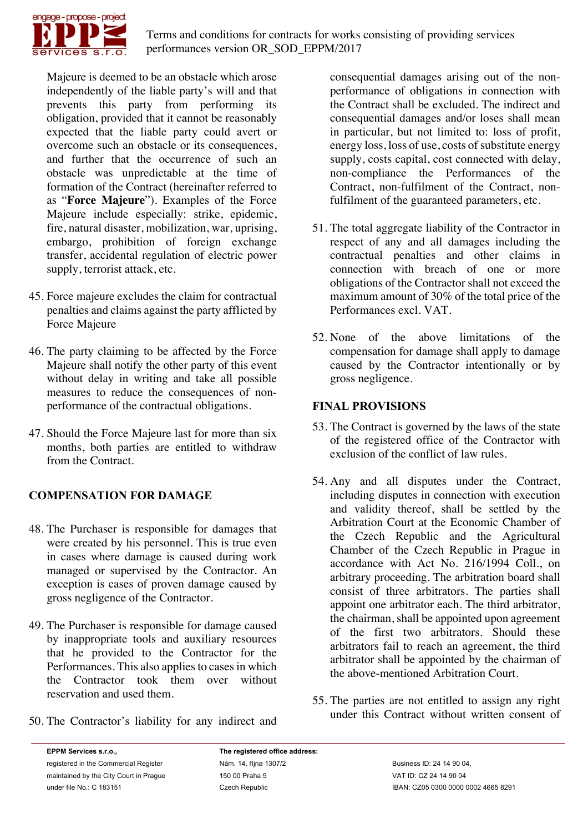

Majeure is deemed to be an obstacle which arose independently of the liable party's will and that prevents this party from performing its obligation, provided that it cannot be reasonably expected that the liable party could avert or overcome such an obstacle or its consequences, and further that the occurrence of such an obstacle was unpredictable at the time of formation of the Contract (hereinafter referred to as "**Force Majeure**"). Examples of the Force Majeure include especially: strike, epidemic, fire, natural disaster, mobilization, war, uprising, embargo, prohibition of foreign exchange transfer, accidental regulation of electric power supply, terrorist attack, etc.

- 45. Force majeure excludes the claim for contractual penalties and claims against the party afflicted by Force Majeure
- 46. The party claiming to be affected by the Force Majeure shall notify the other party of this event without delay in writing and take all possible measures to reduce the consequences of nonperformance of the contractual obligations.
- 47. Should the Force Majeure last for more than six months, both parties are entitled to withdraw from the Contract.

## **COMPENSATION FOR DAMAGE**

- 48. The Purchaser is responsible for damages that were created by his personnel. This is true even in cases where damage is caused during work managed or supervised by the Contractor. An exception is cases of proven damage caused by gross negligence of the Contractor.
- 49. The Purchaser is responsible for damage caused by inappropriate tools and auxiliary resources that he provided to the Contractor for the Performances. This also applies to cases in which the Contractor took them over without reservation and used them.
- 50. The Contractor's liability for any indirect and

consequential damages arising out of the nonperformance of obligations in connection with the Contract shall be excluded. The indirect and consequential damages and/or loses shall mean in particular, but not limited to: loss of profit, energy loss, loss of use, costs of substitute energy supply, costs capital, cost connected with delay, non-compliance the Performances of the Contract, non-fulfilment of the Contract, nonfulfilment of the guaranteed parameters, etc.

- 51. The total aggregate liability of the Contractor in respect of any and all damages including the contractual penalties and other claims in connection with breach of one or more obligations of the Contractor shall not exceed the maximum amount of 30% of the total price of the Performances excl. VAT.
- 52. None of the above limitations of the compensation for damage shall apply to damage caused by the Contractor intentionally or by gross negligence.

## **FINAL PROVISIONS**

- 53. The Contract is governed by the laws of the state of the registered office of the Contractor with exclusion of the conflict of law rules.
- 54. Any and all disputes under the Contract, including disputes in connection with execution and validity thereof, shall be settled by the Arbitration Court at the Economic Chamber of the Czech Republic and the Agricultural Chamber of the Czech Republic in Prague in accordance with Act No. 216/1994 Coll., on arbitrary proceeding. The arbitration board shall consist of three arbitrators. The parties shall appoint one arbitrator each. The third arbitrator, the chairman, shall be appointed upon agreement of the first two arbitrators. Should these arbitrators fail to reach an agreement, the third arbitrator shall be appointed by the chairman of the above-mentioned Arbitration Court.
- 55. The parties are not entitled to assign any right under this Contract without written consent of